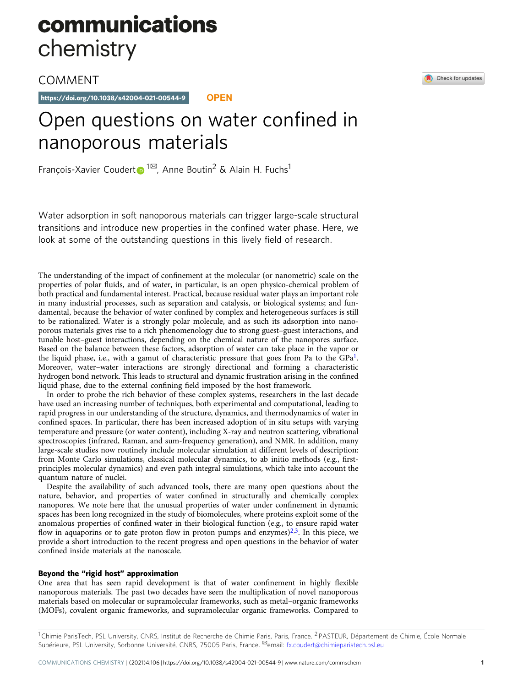# communications chemistry

COMMENT

https://doi.org/10.1038/s42004-021-00544-9 **OPEN**

## Open questions on water confined in nanoporous materials

François-Xavier Couder[t](http://orcid.org/0000-0001-5318-3910) <sup>1⊠</sup>, Anne Boutin<sup>2</sup> & Alain H. Fuchs<sup>1</sup>

Water adsorption in soft nanoporous materials can trigger large-scale structural transitions and introduce new properties in the confined water phase. Here, we look at some of the outstanding questions in this lively field of research.

The understanding of the impact of confinement at the molecular (or nanometric) scale on the properties of polar fluids, and of water, in particular, is an open physico-chemical problem of both practical and fundamental interest. Practical, because residual water plays an important role in many industrial processes, such as separation and catalysis, or biological systems; and fundamental, because the behavior of water confined by complex and heterogeneous surfaces is still to be rationalized. Water is a strongly polar molecule, and as such its adsorption into nanoporous materials gives rise to a rich phenomenology due to strong guest–guest interactions, and tunable host–guest interactions, depending on the chemical nature of the nanopores surface. Based on the balance between these factors, adsorption of water can take place in the vapor or the liquid phase, i.e., with a gamut of characteristic pressure that goes from Pa to the  $GPa<sup>1</sup>$  $GPa<sup>1</sup>$  $GPa<sup>1</sup>$ . Moreover, water–water interactions are strongly directional and forming a characteristic hydrogen bond network. This leads to structural and dynamic frustration arising in the confined liquid phase, due to the external confining field imposed by the host framework.

In order to probe the rich behavior of these complex systems, researchers in the last decade have used an increasing number of techniques, both experimental and computational, leading to rapid progress in our understanding of the structure, dynamics, and thermodynamics of water in confined spaces. In particular, there has been increased adoption of in situ setups with varying temperature and pressure (or water content), including X-ray and neutron scattering, vibrational spectroscopies (infrared, Raman, and sum-frequency generation), and NMR. In addition, many large-scale studies now routinely include molecular simulation at different levels of description: from Monte Carlo simulations, classical molecular dynamics, to ab initio methods (e.g., firstprinciples molecular dynamics) and even path integral simulations, which take into account the quantum nature of nuclei.

Despite the availability of such advanced tools, there are many open questions about the nature, behavior, and properties of water confined in structurally and chemically complex nanopores. We note here that the unusual properties of water under confinement in dynamic spaces has been long recognized in the study of biomolecules, where proteins exploit some of the anomalous properties of confined water in their biological function (e.g., to ensure rapid water flow in aquaporins or to gate proton flow in proton pumps and enzymes)<sup>[2](#page-2-0),[3](#page-2-0)</sup>. In this piece, we provide a short introduction to the recent progress and open questions in the behavior of water confined inside materials at the nanoscale.

## Beyond the "rigid host" approximation

One area that has seen rapid development is that of water confinement in highly flexible nanoporous materials. The past two decades have seen the multiplication of novel nanoporous materials based on molecular or supramolecular frameworks, such as metal–organic frameworks (MOFs), covalent organic frameworks, and supramolecular organic frameworks. Compared to

<sup>1</sup> Chimie ParisTech, PSL University, CNRS, Institut de Recherche de Chimie Paris, Paris, France. <sup>2</sup> PASTEUR, Département de Chimie, École Normale Supérieure, PSL University, Sorbonne Université, CNRS, 75005 Paris, France. <sup>⊠</sup>email: [fx.coudert@chimieparistech.psl.eu](mailto:fx.coudert@chimieparistech.psl.eu)

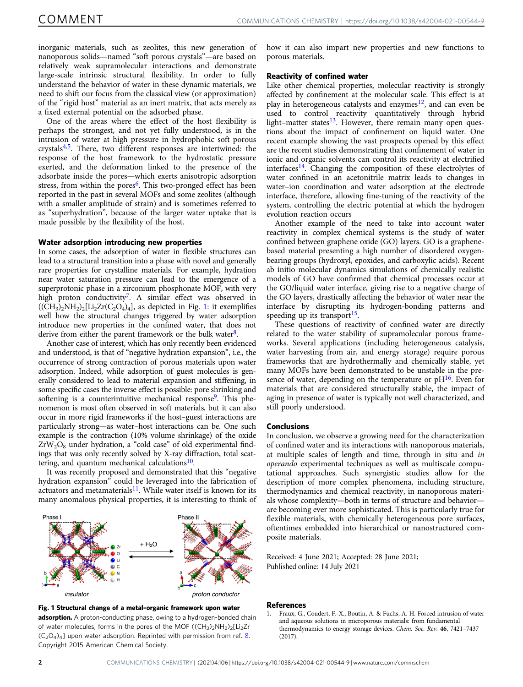<span id="page-1-0"></span>inorganic materials, such as zeolites, this new generation of nanoporous solids—named "soft porous crystals"—are based on relatively weak supramolecular interactions and demonstrate large-scale intrinsic structural flexibility. In order to fully understand the behavior of water in these dynamic materials, we need to shift our focus from the classical view (or approximation) of the "rigid host" material as an inert matrix, that acts merely as a fixed external potential on the adsorbed phase.

One of the areas where the effect of the host flexibility is perhaps the strongest, and not yet fully understood, is in the intrusion of water at high pressure in hydrophobic soft porous crystals[4](#page-2-0),[5.](#page-2-0) There, two different responses are intertwined: the response of the host framework to the hydrostatic pressure exerted, and the deformation linked to the presence of the adsorbate inside the pores—which exerts anisotropic adsorption stress, from within the pores<sup>6</sup>. This two-pronged effect has been reported in the past in several MOFs and some zeolites (although with a smaller amplitude of strain) and is sometimes referred to as "superhydration", because of the larger water uptake that is made possible by the flexibility of the host.

## Water adsorption introducing new properties

In some cases, the adsorption of water in flexible structures can lead to a structural transition into a phase with novel and generally rare properties for crystalline materials. For example, hydration near water saturation pressure can lead to the emergence of a superprotonic phase in a zirconium phosphonate MOF, with very high proton conductivity<sup>7</sup>. A similar effect was observed in  $((CH<sub>3</sub>)<sub>2</sub>NH<sub>2</sub>)<sub>2</sub>[Li<sub>2</sub>Zr(C<sub>2</sub>O<sub>4</sub>)<sub>4</sub>],$  as depicted in Fig. 1: it exemplifies well how the structural changes triggered by water adsorption introduce new properties in the confined water, that does not derive from either the parent framework or the bulk water $8$ .

Another case of interest, which has only recently been evidenced and understood, is that of "negative hydration expansion", i.e., the occurrence of strong contraction of porous materials upon water adsorption. Indeed, while adsorption of guest molecules is generally considered to lead to material expansion and stiffening, in some specific cases the inverse effect is possible: pore shrinking and softening is a counterintuitive mechanical response<sup>9</sup>. This phenomenon is most often observed in soft materials, but it can also occur in more rigid frameworks if the host–guest interactions are particularly strong—as water–host interactions can be. One such example is the contraction (10% volume shrinkage) of the oxide  $ZrW_2O_8$  under hydration, a "cold case" of old experimental findings that was only recently solved by X-ray diffraction, total scattering, and quantum mechanical calculations $10$ .

It was recently proposed and demonstrated that this "negative hydration expansion" could be leveraged into the fabrication of actuators and metamaterials<sup>11</sup>. While water itself is known for its many anomalous physical properties, it is interesting to think of





how it can also impart new properties and new functions to porous materials.

## Reactivity of confined water

Like other chemical properties, molecular reactivity is strongly affected by confinement at the molecular scale. This effect is at play in heterogeneous catalysts and enzymes<sup>[12](#page-2-0)</sup>, and can even be used to control reactivity quantitatively through hybrid light–matter states $^{13}$  $^{13}$  $^{13}$ . However, there remain many open questions about the impact of confinement on liquid water. One recent example showing the vast prospects opened by this effect are the recent studies demonstrating that confinement of water in ionic and organic solvents can control its reactivity at electrified interfaces[14.](#page-2-0) Changing the composition of these electrolytes of water confined in an acetonitrile matrix leads to changes in water–ion coordination and water adsorption at the electrode interface, therefore, allowing fine-tuning of the reactivity of the system, controlling the electric potential at which the hydrogen evolution reaction occurs

Another example of the need to take into account water reactivity in complex chemical systems is the study of water confined between graphene oxide (GO) layers. GO is a graphenebased material presenting a high number of disordered oxygenbearing groups (hydroxyl, epoxides, and carboxylic acids). Recent ab initio molecular dynamics simulations of chemically realistic models of GO have confirmed that chemical processes occur at the GO/liquid water interface, giving rise to a negative charge of the GO layers, drastically affecting the behavior of water near the interface by disrupting its hydrogen-bonding patterns and speeding up its transport<sup>[15](#page-2-0)</sup>.

These questions of reactivity of confined water are directly related to the water stability of supramolecular porous frameworks. Several applications (including heterogeneous catalysis, water harvesting from air, and energy storage) require porous frameworks that are hydrothermally and chemically stable, yet many MOFs have been demonstrated to be unstable in the presence of water, depending on the temperature or  $pH^{16}$ . Even for materials that are considered structurally stable, the impact of aging in presence of water is typically not well characterized, and still poorly understood.

## Conclusions

In conclusion, we observe a growing need for the characterization of confined water and its interactions with nanoporous materials, at multiple scales of length and time, through in situ and in operando experimental techniques as well as multiscale computational approaches. Such synergistic studies allow for the description of more complex phenomena, including structure, thermodynamics and chemical reactivity, in nanoporous materials whose complexity—both in terms of structure and behavior are becoming ever more sophisticated. This is particularly true for flexible materials, with chemically heterogeneous pore surfaces, oftentimes embedded into hierarchical or nanostructured composite materials.

Received: 4 June 2021; Accepted: 28 June 2021; Published online: 14 July 2021

#### References

1. Fraux, G., Coudert, F.-X., Boutin, A. & Fuchs, A. H. Forced intrusion of water and aqueous solutions in microporous materials: from fundamental thermodynamics to energy storage devices. Chem. Soc. Rev. 46, 7421–7437  $(2017)$